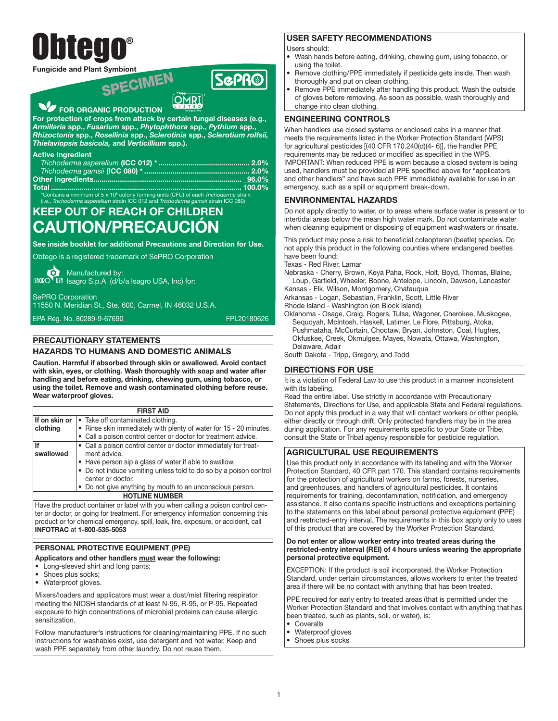# **rego**

# Fungicide and Plant Symbiont<br> **CDECIMEN SGPR®** OMRI **EXP FOR ORGANIC PRODUCTION** For protection of crops from attack by certain fungal diseases (e.g., *Armillaria* spp., *Fusarium* spp., *Phytophthora* spp., *Pythium* spp., *Rhizoctonia* spp., *Rosellinia* spp., *Sclerotinia* spp., *Sclerotium rolfsii, Thielaviopsis basicola,* and *Verticillium* spp.). Active Ingredient *Trichoderma asperellum* (ICC 012) \* ............................................. 2.0% *Trichoderma gamsii* (ICC 080) \* .................................................... 2.0% Other Ingredients......................................................................... 96.0% Total .............................................................................................. 100.0% \*Contains a minimum of 5 x 106 colony forming units (CFU) of each *Trichoderma* strain (i.e., *Trichoderma asperellum* strain ICC 012 and *Trichoderma gamsii* strain ICC 080)

# KEEP OUT OF REACH OF CHILDREN CAUTION/PRECAUCIÓN

See inside booklet for additional Precautions and Direction for Use.

Obtego is a registered trademark of SePRO Corporation

 $\bullet$ 

Manufactured by: ISRON USR Isagro S.p.A (d/b/a Isagro USA, Inc) for:

SePRO Corporation 11550 N. Meridian St., Ste. 600, Carmel, IN 46032 U.S.A.

EPA Reg. No. 80289-9-67690 FPL20180626

# PRECAUTIONARY STATEMENTS

#### HAZARDS TO HUMANS AND DOMESTIC ANIMALS

Caution. Harmful if absorbed through skin or swallowed. Avoid contact with skin, eyes, or clothing. Wash thoroughly with soap and water after handling and before eating, drinking, chewing gum, using tobacco, or using the toilet. Remove and wash contaminated clothing before reuse. Wear waterproof gloves.

| <b>FIRST AID</b>                                       |                                                                    |  |  |  |  |
|--------------------------------------------------------|--------------------------------------------------------------------|--|--|--|--|
| If on skin or                                          | • Take off contaminated clothing.                                  |  |  |  |  |
| clothing                                               | • Rinse skin immediately with plenty of water for 15 - 20 minutes. |  |  |  |  |
|                                                        | • Call a poison control center or doctor for treatment advice.     |  |  |  |  |
| lf                                                     | • Call a poison control center or doctor immediately for treat-    |  |  |  |  |
| swallowed                                              | ment advice.                                                       |  |  |  |  |
| • Have person sip a glass of water if able to swallow. |                                                                    |  |  |  |  |
|                                                        | • Do not induce vomiting unless told to do so by a poison control  |  |  |  |  |
|                                                        | center or doctor.                                                  |  |  |  |  |
|                                                        | • Do not give anything by mouth to an unconscious person.          |  |  |  |  |
| <b>HOTLINE NUMBER</b>                                  |                                                                    |  |  |  |  |
| . .<br>$\sim$ $\sim$<br>$\cdots$<br>                   |                                                                    |  |  |  |  |

Have the product container or label with you when calling a poison control center or doctor, or going for treatment. For emergency information concerning this product or for chemical emergency, spill, leak, fire, exposure, or accident, call INFOTRAC at 1-800-535-5053

# PERSONAL PROTECTIVE EQUIPMENT (PPE)

#### Applicators and other handlers must wear the following:

- Long-sleeved shirt and long pants;
- Shoes plus socks;
- Waterproof gloves.

Mixers/loaders and applicators must wear a dust/mist filtering respirator meeting the NIOSH standards of at least N-95, R-95, or P-95. Repeated exposure to high concentrations of microbial proteins can cause allergic sensitization.

Follow manufacturer's instructions for cleaning/maintaining PPE. If no such instructions for washables exist, use detergent and hot water. Keep and wash PPE separately from other laundry. Do not reuse them.

# USER SAFETY RECOMMENDATIONS

Users should:

- Wash hands before eating, drinking, chewing gum, using tobacco, or using the toilet.
- Remove clothing/PPE immediately if pesticide gets inside. Then wash thoroughly and put on clean clothing.
- Remove PPE immediately after handling this product. Wash the outside of gloves before removing. As soon as possible, wash thoroughly and change into clean clothing.

# ENGINEERING CONTROLS

When handlers use closed systems or enclosed cabs in a manner that meets the requirements listed in the Worker Protection Standard (WPS) for agricultural pesticides [(40 CFR 170.240(d)(4- 6)], the handler PPE requirements may be reduced or modified as specified in the WPS. IMPORTANT: When reduced PPE is worn because a closed system is being used, handlers must be provided all PPE specified above for "applicators and other handlers" and have such PPE immediately available for use in an emergency, such as a spill or equipment break-down.

# ENVIRONMENTAL HAZARDS

Do not apply directly to water, or to areas where surface water is present or to intertidal areas below the mean high water mark. Do not contaminate water when cleaning equipment or disposing of equipment washwaters or rinsate.

This product may pose a risk to beneficial coleopteran (beetle) species. Do not apply this product in the following counties where endangered beetles have been found:

Texas - Red River, Lamar

Nebraska - Cherry, Brown, Keya Paha, Rock, Holt, Boyd, Thomas, Blaine, Loup, Garfield, Wheeler, Boone, Antelope, Lincoln, Dawson, Lancaster Kansas - Elk, Wilson, Montgomery, Chatauqua

Arkansas - Logan, Sebastian, Franklin, Scott, Little River

Rhode Island - Washington (on Block Island)

Oklahoma - Osage, Craig, Rogers, Tulsa, Wagoner, Cherokee, Muskogee, Sequoyah, McIntosh, Haskell, Latimer, Le Flore, Pittsburg, Atoka, Pushmataha, McCurtain, Choctaw, Bryan, Johnston, Coal, Hughes, Okfuskee, Creek, Okmulgee, Mayes, Nowata, Ottawa, Washington, Delaware, Adair

South Dakota - Tripp, Gregory, and Todd

# DIRECTIONS FOR USE

It is a violation of Federal Law to use this product in a manner inconsistent with its labeling.

Read the entire label. Use strictly in accordance with Precautionary Statements, Directions for Use, and applicable State and Federal regulations. Do not apply this product in a way that will contact workers or other people, either directly or through drift. Only protected handlers may be in the area during application. For any requirements specific to your State or Tribe, consult the State or Tribal agency responsible for pesticide regulation.

# AGRICULTURAL USE REQUIREMENTS

Use this product only in accordance with its labeling and with the Worker Protection Standard, 40 CFR part 170. This standard contains requirements for the protection of agricultural workers on farms, forests, nurseries, and greenhouses, and handlers of agricultural pesticides. It contains requirements for training, decontamination, notification, and emergency assistance. It also contains specific instructions and exceptions pertaining to the statements on this label about personal protective equipment (PPE) and restricted-entry interval. The requirements in this box apply only to uses of this product that are covered by the Worker Protection Standard.

#### Do not enter or allow worker entry into treated areas during the restricted-entry interval (REI) of 4 hours unless wearing the appropriate personal protective equipment.

EXCEPTION: If the product is soil incorporated, the Worker Protection Standard, under certain circumstances, allows workers to enter the treated area if there will be no contact with anything that has been treated.

PPE required for early entry to treated areas (that is permitted under the Worker Protection Standard and that involves contact with anything that has been treated, such as plants, soil, or water), is:

- Coveralls
- Waterproof gloves
- Shoes plus socks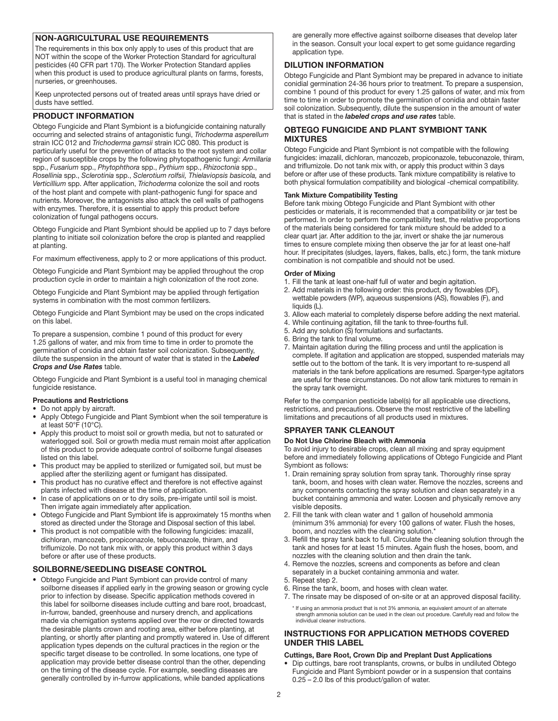#### NON-AGRICULTURAL USE REQUIREMENTS

The requirements in this box only apply to uses of this product that are NOT within the scope of the Worker Protection Standard for agricultural pesticides (40 CFR part 170). The Worker Protection Standard applies when this product is used to produce agricultural plants on farms, forests, nurseries, or greenhouses.

Keep unprotected persons out of treated areas until sprays have dried or dusts have settled.

#### PRODUCT INFORMATION

Obtego Fungicide and Plant Symbiont is a biofungicide containing naturally occurring and selected strains of antagonistic fungi, *Trichoderma asperellum* strain ICC 012 and *Trichoderma gamsii* strain ICC 080. This product is particularly useful for the prevention of attacks to the root system and collar region of susceptible crops by the following phytopathogenic fungi: *Armillaria* spp., *Fusarium* spp., *Phytophthora* spp., *Pythium* spp., *Rhizoctonia* spp., *Rosellinia* spp., *Sclerotinia* spp., *Sclerotium rolfsii, Thielaviopsis basicola,* and *Verticillium* spp. After application, *Trichoderma* colonize the soil and roots of the host plant and compete with plant-pathogenic fungi for space and nutrients. Moreover, the antagonists also attack the cell walls of pathogens with enzymes. Therefore, it is essential to apply this product before colonization of fungal pathogens occurs.

Obtego Fungicide and Plant Symbiont should be applied up to 7 days before planting to initiate soil colonization before the crop is planted and reapplied at planting.

For maximum effectiveness, apply to 2 or more applications of this product.

Obtego Fungicide and Plant Symbiont may be applied throughout the crop production cycle in order to maintain a high colonization of the root zone.

Obtego Fungicide and Plant Symbiont may be applied through fertigation systems in combination with the most common fertilizers.

Obtego Fungicide and Plant Symbiont may be used on the crops indicated on this label.

To prepare a suspension, combine 1 pound of this product for every 1.25 gallons of water, and mix from time to time in order to promote the germination of conidia and obtain faster soil colonization. Subsequently, dilute the suspension in the amount of water that is stated in the *Labeled Crops and Use Rates* table.

Obtego Fungicide and Plant Symbiont is a useful tool in managing chemical fungicide resistance.

#### Precautions and Restrictions

- Do not apply by aircraft.
- Apply Obtego Fungicide and Plant Symbiont when the soil temperature is at least 50°F (10°C).
- Apply this product to moist soil or growth media, but not to saturated or waterlogged soil. Soil or growth media must remain moist after application of this product to provide adequate control of soilborne fungal diseases listed on this label.
- This product may be applied to sterilized or fumigated soil, but must be applied after the sterilizing agent or fumigant has dissipated.
- This product has no curative effect and therefore is not effective against plants infected with disease at the time of application.
- In case of applications on or to dry soils, pre-irrigate until soil is moist. Then irrigate again immediately after application.
- Obtego Fungicide and Plant Symbiont life is approximately 15 months when stored as directed under the Storage and Disposal section of this label.
- This product is not compatible with the following fungicides: imazalil, dichloran, mancozeb, propiconazole, tebuconazole, thiram, and triflumizole. Do not tank mix with, or apply this product within 3 days before or after use of these products.

#### SOILBORNE/SEEDLING DISEASE CONTROL

• Obtego Fungicide and Plant Symbiont can provide control of many soilborne diseases if applied early in the growing season or growing cycle prior to infection by disease. Specific application methods covered in this label for soilborne diseases include cutting and bare root, broadcast, in-furrow, banded, greenhouse and nursery drench, and applications made via chemigation systems applied over the row or directed towards the desirable plants crown and rooting area, either before planting, at planting, or shortly after planting and promptly watered in. Use of different application types depends on the cultural practices in the region or the specific target disease to be controlled. In some locations, one type of application may provide better disease control than the other, depending on the timing of the disease cycle. For example, seedling diseases are generally controlled by in-furrow applications, while banded applications

are generally more effective against soilborne diseases that develop later in the season. Consult your local expert to get some guidance regarding application type.

#### DILUTION INFORMATION

Obtego Fungicide and Plant Symbiont may be prepared in advance to initiate conidial germination 24-36 hours prior to treatment. To prepare a suspension, combine 1 pound of this product for every 1.25 gallons of water, and mix from time to time in order to promote the germination of conidia and obtain faster soil colonization. Subsequently, dilute the suspension in the amount of water that is stated in the *labeled crops and use rates* table.

#### OBTEGO FUNGICIDE AND PLANT SYMBIONT TANK MIXTURES

Obtego Fungicide and Plant Symbiont is not compatible with the following fungicides: imazalil, dichloran, mancozeb, propiconazole, tebuconazole, thiram, and triflumizole. Do not tank mix with, or apply this product within 3 days before or after use of these products. Tank mixture compatibility is relative to both physical formulation compatibility and biological -chemical compatibility.

#### Tank Mixture Compatibility Testing

Before tank mixing Obtego Fungicide and Plant Symbiont with other pesticides or materials, it is recommended that a compatibility or jar test be performed. In order to perform the compatibility test, the relative proportions of the materials being considered for tank mixture should be added to a clear quart jar. After addition to the jar, invert or shake the jar numerous times to ensure complete mixing then observe the jar for at least one-half hour. If precipitates (sludges, layers, flakes, balls, etc.) form, the tank mixture combination is not compatible and should not be used.

#### Order of Mixing

- 1. Fill the tank at least one-half full of water and begin agitation.
- 2. Add materials in the following order: this product, dry flowables (DF), wettable powders (WP), aqueous suspensions (AS), flowables (F), and liquids (L).
- 3. Allow each material to completely disperse before adding the next material.
- 4. While continuing agitation, fill the tank to three-fourths full.
- 5. Add any solution (S) formulations and surfactants.
- 6. Bring the tank to final volume.
- 7. Maintain agitation during the filling process and until the application is complete. If agitation and application are stopped, suspended materials may settle out to the bottom of the tank. It is very important to re-suspend all materials in the tank before applications are resumed. Sparger-type agitators are useful for these circumstances. Do not allow tank mixtures to remain in the spray tank overnight.

Refer to the companion pesticide label(s) for all applicable use directions, restrictions, and precautions. Observe the most restrictive of the labelling limitations and precautions of all products used in mixtures.

#### SPRAYER TANK CLEANOUT

#### Do Not Use Chlorine Bleach with Ammonia

To avoid injury to desirable crops, clean all mixing and spray equipment before and immediately following applications of Obtego Fungicide and Plant Symbiont as follows:

- 1. Drain remaining spray solution from spray tank. Thoroughly rinse spray tank, boom, and hoses with clean water. Remove the nozzles, screens and any components contacting the spray solution and clean separately in a bucket containing ammonia and water. Loosen and physically remove any visible deposits.
- 2. Fill the tank with clean water and 1 gallon of household ammonia (minimum 3% ammonia) for every 100 gallons of water. Flush the hoses, boom, and nozzles with the cleaning solution.\*
- 3. Refill the spray tank back to full. Circulate the cleaning solution through the tank and hoses for at least 15 minutes. Again flush the hoses, boom, and nozzles with the cleaning solution and then drain the tank.
- 4. Remove the nozzles, screens and components as before and clean separately in a bucket containing ammonia and water.
- 5. Repeat step 2.
- 6. Rinse the tank, boom, and hoses with clean water.
- 7. The rinsate may be disposed of on-site or at an approved disposal facility.

#### INSTRUCTIONS FOR APPLICATION METHODS COVERED UNDER THIS LABEL

#### Cuttings, Bare Root, Crown Dip and Preplant Dust Applications

• Dip cuttings, bare root transplants, crowns, or bulbs in undiluted Obtego Fungicide and Plant Symbiont powder or in a suspension that contains 0.25 – 2.0 lbs of this product/gallon of water.

<sup>\*</sup> If using an ammonia product that is not 3% ammonia, an equivalent amount of an alternate strength ammonia solution can be used in the clean out procedure. Carefully read and follow the individual cleaner instructions.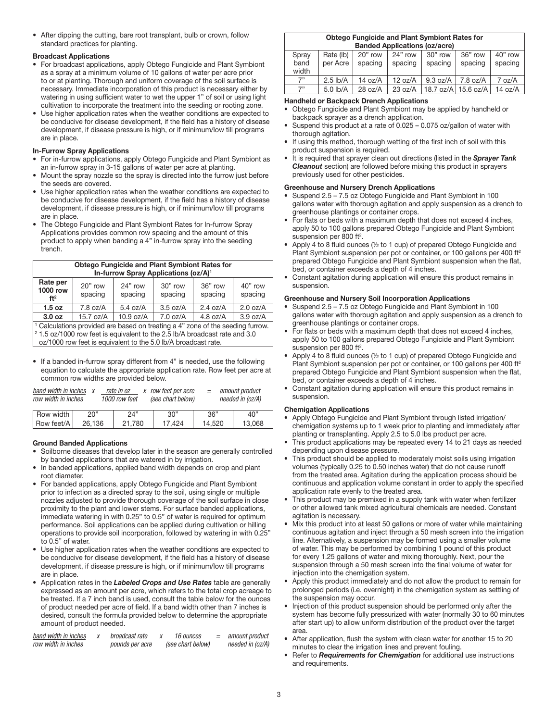• After dipping the cutting, bare root transplant, bulb or crown, follow standard practices for planting.

#### Broadcast Applications

- For broadcast applications, apply Obtego Fungicide and Plant Symbiont as a spray at a minimum volume of 10 gallons of water per acre prior to or at planting. Thorough and uniform coverage of the soil surface is necessary. Immediate incorporation of this product is necessary either by watering in using sufficient water to wet the upper 1" of soil or using light cultivation to incorporate the treatment into the seeding or rooting zone.
- Use higher application rates when the weather conditions are expected to be conducive for disease development, if the field has a history of disease development, if disease pressure is high, or if minimum/low till programs are in place.

#### In-Furrow Spray Applications

- For in-furrow applications, apply Obtego Fungicide and Plant Symbiont as an in-furrow spray in 3-15 gallons of water per acre at planting.
- Mount the spray nozzle so the spray is directed into the furrow just before the seeds are covered.
- Use higher application rates when the weather conditions are expected to be conducive for disease development, if the field has a history of disease development, if disease pressure is high, or if minimum/low till programs are in place.
- The Obtego Fungicide and Plant Symbiont Rates for In-furrow Spray Applications provides common row spacing and the amount of this product to apply when banding a 4" in-furrow spray into the seeding trench.

| <b>Obtego Fungicide and Plant Symbiont Rates for</b><br>In-furrow Spray Applications (oz/A) <sup>1</sup>                                                                                                                                              |                                                                                                                    |             |                    |            |            |  |
|-------------------------------------------------------------------------------------------------------------------------------------------------------------------------------------------------------------------------------------------------------|--------------------------------------------------------------------------------------------------------------------|-------------|--------------------|------------|------------|--|
| Rate per<br>1000 row<br>ft <sup>2</sup>                                                                                                                                                                                                               | $24"$ row<br>$30"$ row<br>36" row<br>$20"$ row<br>$40"$ row<br>spacing<br>spacing<br>spacing<br>spacing<br>spacing |             |                    |            |            |  |
| 1.5 oz                                                                                                                                                                                                                                                | $7.8$ oz/A                                                                                                         | $5.4$ oz/A  | $3.5 \text{ oz/A}$ | $2.4$ oz/A | $2.0$ oz/A |  |
| 3.0 oz                                                                                                                                                                                                                                                | 15.7 oz/A                                                                                                          | $10.9$ oz/A | $7.0$ oz/A         | $4.8$ oz/A | 3.9 oz/A   |  |
| <sup>1</sup> Calculations provided are based on treating a 4" zone of the seeding furrow.<br><sup>2</sup> 1.5 oz/1000 row feet is equivalent to the 2.5 lb/A broadcast rate and 3.0<br>oz/1000 row feet is equivalent to the 5.0 lb/A broadcast rate. |                                                                                                                    |             |                    |            |            |  |

• If a banded in-furrow spray different from 4" is needed, use the following equation to calculate the appropriate application rate. Row feet per acre at common row widths are provided below.

| band width in inches x<br>row width in inches |        | rate in oz<br>1000 row feet |  | x row feet per acre<br>(see chart below) | amount product<br>$=$<br>needed in (oz/A) |        |
|-----------------------------------------------|--------|-----------------------------|--|------------------------------------------|-------------------------------------------|--------|
| Row width                                     | 20"    | 24"                         |  | 30"                                      | 36"                                       | 4በ"    |
| Row feet/A                                    | 26.136 | 21.780                      |  | 17.424                                   | 14.520                                    | 13.068 |

#### Ground Banded Applications

- Soilborne diseases that develop later in the season are generally controlled by banded applications that are watered in by irrigation.
- In banded applications, applied band width depends on crop and plant root diameter.
- For banded applications, apply Obtego Fungicide and Plant Symbiont prior to infection as a directed spray to the soil, using single or multiple nozzles adjusted to provide thorough coverage of the soil surface in close proximity to the plant and lower stems. For surface banded applications, immediate watering in with 0.25" to 0.5" of water is required for optimum performance. Soil applications can be applied during cultivation or hilling operations to provide soil incorporation, followed by watering in with 0.25" to 0.5" of water.
- Use higher application rates when the weather conditions are expected to be conducive for disease development, if the field has a history of disease development, if disease pressure is high, or if minimum/low till programs are in place.
- Application rates in the *Labeled Crops and Use Rates* table are generally expressed as an amount per acre, which refers to the total crop acreage to be treated. If a 7 inch band is used, consult the table below for the ounces of product needed per acre of field. If a band width other than 7 inches is desired, consult the formula provided below to determine the appropriate amount of product needed.

| band width in inches | broadcast rate  | 16 ounces         | amount product   |
|----------------------|-----------------|-------------------|------------------|
| row width in inches  | pounds per acre | (see chart below) | needed in (oz/A) |

| <b>Obtego Fungicide and Plant Symbiont Rates for</b><br><b>Banded Applications (oz/acre)</b> |                       |                   |                      |                      |                       |                      |
|----------------------------------------------------------------------------------------------|-----------------------|-------------------|----------------------|----------------------|-----------------------|----------------------|
| Spray<br>band<br>width                                                                       | Rate (lb)<br>per Acre | 20"row<br>spacing | $24"$ row<br>spacing | $30"$ row<br>spacing | $36"$ row<br>spacing  | $40"$ row<br>spacing |
| 7"                                                                                           | $2.5$ lb/A            | 14 oz/A           | 12 oz/A              | 9.3 oz/A             | $7.8 \text{ oz/A}$    | 7 oz/A               |
| 7"                                                                                           | $5.0$ lb/A            | $28 \text{ oz/A}$ | 23 oz/A              |                      | 18.7 oz/A   15.6 oz/A | 14 oz/A              |
|                                                                                              |                       |                   |                      |                      |                       |                      |

#### Handheld or Backpack Drench Applications

- Obtego Fungicide and Plant Symbiont may be applied by handheld or backpack sprayer as a drench application.
- Suspend this product at a rate of 0.025 0.075 oz/gallon of water with thorough agitation.
- If using this method, thorough wetting of the first inch of soil with this product suspension is required.
- It is required that sprayer clean out directions (listed in the *Sprayer Tank Cleanout* section) are followed before mixing this product in sprayers previously used for other pesticides.

#### Greenhouse and Nursery Drench Applications

- Suspend 2.5 7.5 oz Obtego Fungicide and Plant Symbiont in 100 gallons water with thorough agitation and apply suspension as a drench to greenhouse plantings or container crops.
- For flats or beds with a maximum depth that does not exceed 4 inches, apply 50 to 100 gallons prepared Obtego Fungicide and Plant Symbiont suspension per 800 ft $^2$ .
- Apply 4 to 8 fluid ounces (½ to 1 cup) of prepared Obtego Fungicide and Plant Symbiont suspension per pot or container, or 100 gallons per 400 ft<sup>2</sup> prepared Obtego Fungicide and Plant Symbiont suspension when the flat, bed, or container exceeds a depth of 4 inches.
- Constant agitation during application will ensure this product remains in suspension.

#### Greenhouse and Nursery Soil Incorporation Applications

- Suspend 2.5 7.5 oz Obtego Fungicide and Plant Symbiont in 100 gallons water with thorough agitation and apply suspension as a drench to greenhouse plantings or container crops.
- For flats or beds with a maximum depth that does not exceed 4 inches, apply 50 to 100 gallons prepared Obtego Fungicide and Plant Symbiont suspension per 800 ft<sup>2</sup>.
- Apply 4 to 8 fluid ounces (½ to 1 cup) of prepared Obtego Fungicide and Plant Symbiont suspension per pot or container, or 100 gallons per 400 ft<sup>2</sup> prepared Obtego Fungicide and Plant Symbiont suspension when the flat, bed, or container exceeds a depth of 4 inches.
- Constant agitation during application will ensure this product remains in suspension.

#### Chemigation Applications

- Apply Obtego Fungicide and Plant Symbiont through listed irrigation/ chemigation systems up to 1 week prior to planting and immediately after planting or transplanting. Apply 2.5 to 5.0 lbs product per acre.
- This product applications may be repeated every 14 to 21 days as needed depending upon disease pressure.
- This product should be applied to moderately moist soils using irrigation volumes (typically 0.25 to 0.50 inches water) that do not cause runoff from the treated area. Agitation during the application process should be continuous and application volume constant in order to apply the specified application rate evenly to the treated area.
- This product may be premixed in a supply tank with water when fertilizer or other allowed tank mixed agricultural chemicals are needed. Constant agitation is necessary.
- Mix this product into at least 50 gallons or more of water while maintaining continuous agitation and inject through a 50 mesh screen into the irrigation line. Alternatively, a suspension may be formed using a smaller volume of water. This may be performed by combining 1 pound of this product for every 1.25 gallons of water and mixing thoroughly. Next, pour the suspension through a 50 mesh screen into the final volume of water for injection into the chemigation system.
- Apply this product immediately and do not allow the product to remain for prolonged periods (i.e. overnight) in the chemigation system as settling of the suspension may occur.
- Injection of this product suspension should be performed only after the system has become fully pressurized with water (normally 30 to 60 minutes after start up) to allow uniform distribution of the product over the target area.
- After application, flush the system with clean water for another 15 to 20 minutes to clear the irrigation lines and prevent fouling.
- Refer to *Requirements for Chemigation* for additional use instructions and requirements.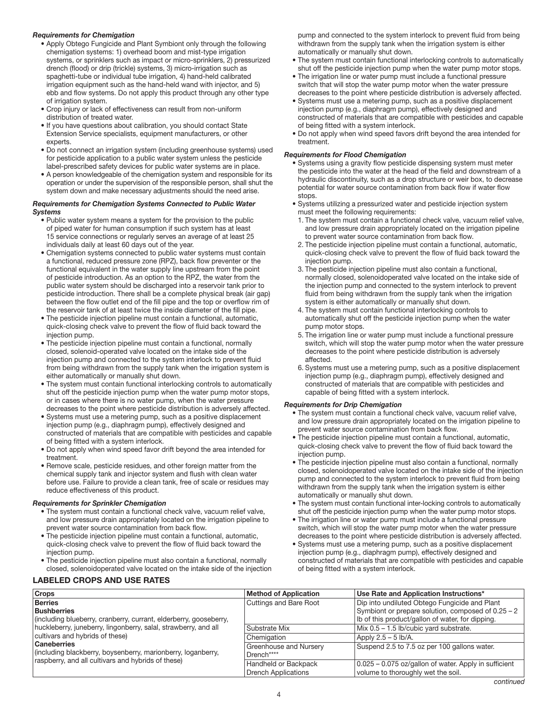#### *Requirements for Chemigation*

- Apply Obtego Fungicide and Plant Symbiont only through the following chemigation systems: 1) overhead boom and mist-type irrigation systems, or sprinklers such as impact or micro-sprinklers, 2) pressurized drench (flood) or drip (trickle) systems, 3) micro-irrigation such as spaghetti-tube or individual tube irrigation, 4) hand-held calibrated irrigation equipment such as the hand-held wand with injector, and 5) ebb and flow systems. Do not apply this product through any other type of irrigation system.
- Crop injury or lack of effectiveness can result from non-uniform distribution of treated water.
- If you have questions about calibration, you should contact State Extension Service specialists, equipment manufacturers, or other experts.
- Do not connect an irrigation system (including greenhouse systems) used for pesticide application to a public water system unless the pesticide label-prescribed safety devices for public water systems are in place.
- A person knowledgeable of the chemigation system and responsible for its operation or under the supervision of the responsible person, shall shut the system down and make necessary adjustments should the need arise.

#### *Requirements for Chemigation Systems Connected to Public Water Systems*

- Public water system means a system for the provision to the public of piped water for human consumption if such system has at least 15 service connections or regularly serves an average of at least 25 individuals daily at least 60 days out of the year.
- Chemigation systems connected to public water systems must contain a functional, reduced pressure zone (RPZ), back flow preventer or the functional equivalent in the water supply line upstream from the point of pesticide introduction. As an option to the RPZ, the water from the public water system should be discharged into a reservoir tank prior to pesticide introduction. There shall be a complete physical break (air gap) between the flow outlet end of the fill pipe and the top or overflow rim of the reservoir tank of at least twice the inside diameter of the fill pipe.
- The pesticide injection pipeline must contain a functional, automatic, quick-closing check valve to prevent the flow of fluid back toward the injection pump.
- The pesticide injection pipeline must contain a functional, normally closed, solenoid-operated valve located on the intake side of the injection pump and connected to the system interlock to prevent fluid from being withdrawn from the supply tank when the irrigation system is either automatically or manually shut down.
- The system must contain functional interlocking controls to automatically shut off the pesticide injection pump when the water pump motor stops, or in cases where there is no water pump, when the water pressure decreases to the point where pesticide distribution is adversely affected.
- Systems must use a metering pump, such as a positive displacement injection pump (e.g., diaphragm pump), effectively designed and constructed of materials that are compatible with pesticides and capable of being fitted with a system interlock.
- Do not apply when wind speed favor drift beyond the area intended for treatment.
- Remove scale, pesticide residues, and other foreign matter from the chemical supply tank and injector system and flush with clean water before use. Failure to provide a clean tank, free of scale or residues may reduce effectiveness of this product.

#### *Requirements for Sprinkler Chemigation*

- The system must contain a functional check valve, vacuum relief valve, and low pressure drain appropriately located on the irrigation pipeline to prevent water source contamination from back flow.
- The pesticide injection pipeline must contain a functional, automatic, quick-closing check valve to prevent the flow of fluid back toward the injection pump.
- The pesticide injection pipeline must also contain a functional, normally closed, solenoidoperated valve located on the intake side of the injection

pump and connected to the system interlock to prevent fluid from being withdrawn from the supply tank when the irrigation system is either automatically or manually shut down.

- The system must contain functional interlocking controls to automatically shut off the pesticide injection pump when the water pump motor stops.
- The irrigation line or water pump must include a functional pressure switch that will stop the water pump motor when the water pressure decreases to the point where pesticide distribution is adversely affected.
- Systems must use a metering pump, such as a positive displacement injection pump (e.g., diaphragm pump), effectively designed and constructed of materials that are compatible with pesticides and capable of being fitted with a system interlock.
- Do not apply when wind speed favors drift beyond the area intended for treatment.

#### *Requirements for Flood Chemigation*

- Systems using a gravity flow pesticide dispensing system must meter the pesticide into the water at the head of the field and downstream of a hydraulic discontinuity, such as a drop structure or weir box, to decrease potential for water source contamination from back flow if water flow stops.
- Systems utilizing a pressurized water and pesticide injection system must meet the following requirements:
- 1. The system must contain a functional check valve, vacuum relief valve, and low pressure drain appropriately located on the irrigation pipeline to prevent water source contamination from back flow.
- 2. The pesticide injection pipeline must contain a functional, automatic, quick-closing check valve to prevent the flow of fluid back toward the injection pump.
- 3. The pesticide injection pipeline must also contain a functional, normally closed, solenoidoperated valve located on the intake side of the injection pump and connected to the system interlock to prevent fluid from being withdrawn from the supply tank when the irrigation system is either automatically or manually shut down.
- 4. The system must contain functional interlocking controls to automatically shut off the pesticide injection pump when the water pump motor stops.
- 5. The irrigation line or water pump must include a functional pressure switch, which will stop the water pump motor when the water pressure decreases to the point where pesticide distribution is adversely affected.
- 6. Systems must use a metering pump, such as a positive displacement injection pump (e.g., diaphragm pump), effectively designed and constructed of materials that are compatible with pesticides and capable of being fitted with a system interlock.

#### *Requirements for Drip Chemigation*

- The system must contain a functional check valve, vacuum relief valve, and low pressure drain appropriately located on the irrigation pipeline to prevent water source contamination from back flow.
- The pesticide injection pipeline must contain a functional, automatic, quick-closing check valve to prevent the flow of fluid back toward the injection pump.
- The pesticide injection pipeline must also contain a functional, normally closed, solenoidoperated valve located on the intake side of the injection pump and connected to the system interlock to prevent fluid from being withdrawn from the supply tank when the irrigation system is either automatically or manually shut down.
- The system must contain functional inter-locking controls to automatically shut off the pesticide injection pump when the water pump motor stops.
- The irrigation line or water pump must include a functional pressure switch, which will stop the water pump motor when the water pressure decreases to the point where pesticide distribution is adversely affected.
- Systems must use a metering pump, such as a positive displacement injection pump (e.g., diaphragm pump), effectively designed and constructed of materials that are compatible with pesticides and capable of being fitted with a system interlock.

#### LABELED CROPS AND USE RATES

| <b>Crops</b>                                                                                              | <b>Method of Application</b>                       | Use Rate and Application Instructions*                                                                                                                  |
|-----------------------------------------------------------------------------------------------------------|----------------------------------------------------|---------------------------------------------------------------------------------------------------------------------------------------------------------|
| <b>Berries</b><br><b>Bushberries</b><br>(including blueberry, cranberry, currant, elderberry, gooseberry, | <b>Cuttings and Bare Root</b>                      | Dip into undiluted Obtego Fungicide and Plant<br>Symbiont or prepare solution, composed of 0.25 – 2<br>Ib of this product/gallon of water, for dipping. |
| huckleberry, juneberry, lingonberry, salal, strawberry, and all                                           | Substrate Mix                                      | Mix 0.5 - 1.5 lb/cubic yard substrate.                                                                                                                  |
| cultivars and hybrids of these)                                                                           | Chemigation                                        | $\Delta$ pply 2.5 – 5 lb/A.                                                                                                                             |
| <b>Caneberries</b><br>(including blackberry, boysenberry, marionberry, loganberry,                        | Greenhouse and Nursery<br>Drench****               | Suspend 2.5 to 7.5 oz per 100 gallons water.                                                                                                            |
| raspberry, and all cultivars and hybrids of these)                                                        | Handheld or Backpack<br><b>Drench Applications</b> | 0.025 - 0.075 oz/gallon of water. Apply in sufficient<br>volume to thoroughly wet the soil.                                                             |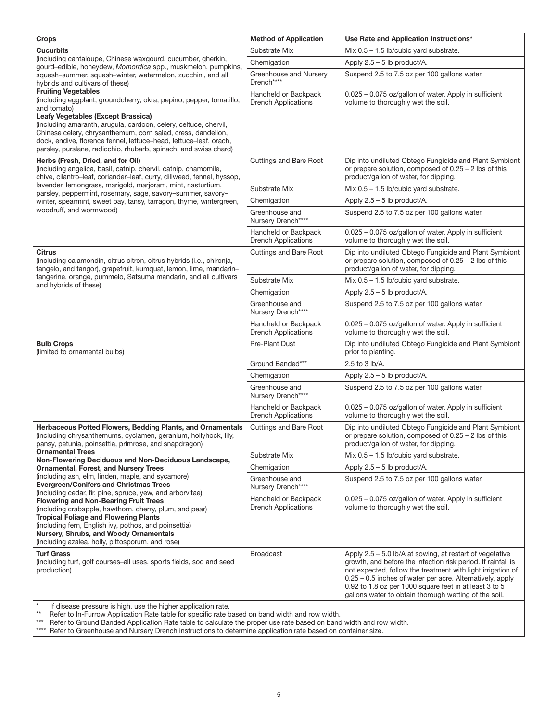| <b>Crops</b>                                                                                                                                                                                                                                                                                                                                                                                                                        | <b>Method of Application</b>                       | Use Rate and Application Instructions*                                                                                                                                                                                                                                                                                                                                    |
|-------------------------------------------------------------------------------------------------------------------------------------------------------------------------------------------------------------------------------------------------------------------------------------------------------------------------------------------------------------------------------------------------------------------------------------|----------------------------------------------------|---------------------------------------------------------------------------------------------------------------------------------------------------------------------------------------------------------------------------------------------------------------------------------------------------------------------------------------------------------------------------|
| <b>Cucurbits</b>                                                                                                                                                                                                                                                                                                                                                                                                                    | Substrate Mix                                      | Mix $0.5 - 1.5$ lb/cubic yard substrate.                                                                                                                                                                                                                                                                                                                                  |
| (including cantaloupe, Chinese waxgourd, cucumber, gherkin,<br>gourd-edible, honeydew, Momordica spp., muskmelon, pumpkins,                                                                                                                                                                                                                                                                                                         | Chemigation                                        | Apply 2.5 - 5 lb product/A.                                                                                                                                                                                                                                                                                                                                               |
| squash-summer, squash-winter, watermelon, zucchini, and all<br>hybrids and cultivars of these)                                                                                                                                                                                                                                                                                                                                      | Greenhouse and Nursery<br>Drench****               | Suspend 2.5 to 7.5 oz per 100 gallons water.                                                                                                                                                                                                                                                                                                                              |
| <b>Fruiting Vegetables</b><br>(including eggplant, groundcherry, okra, pepino, pepper, tomatillo,<br>and tomato)<br>Leafy Vegetables (Except Brassica)<br>(including amaranth, arugula, cardoon, celery, celtuce, chervil,<br>Chinese celery, chrysanthemum, corn salad, cress, dandelion,<br>dock, endive, florence fennel, lettuce-head, lettuce-leaf, orach,<br>parsley, purslane, radicchio, rhubarb, spinach, and swiss chard) | Handheld or Backpack<br><b>Drench Applications</b> | 0.025 - 0.075 oz/gallon of water. Apply in sufficient<br>volume to thoroughly wet the soil.                                                                                                                                                                                                                                                                               |
| Herbs (Fresh, Dried, and for Oil)<br>(including angelica, basil, catnip, chervil, catnip, chamomile,<br>chive, cilantro-leaf, coriander-leaf, curry, dillweed, fennel, hyssop,                                                                                                                                                                                                                                                      | Cuttings and Bare Root                             | Dip into undiluted Obtego Fungicide and Plant Symbiont<br>or prepare solution, composed of 0.25 - 2 lbs of this<br>product/gallon of water, for dipping.                                                                                                                                                                                                                  |
| lavender, lemongrass, marigold, marjoram, mint, nasturtium,<br>parsley, peppermint, rosemary, sage, savory-summer, savory-                                                                                                                                                                                                                                                                                                          | Substrate Mix                                      | Mix $0.5 - 1.5$ lb/cubic yard substrate.                                                                                                                                                                                                                                                                                                                                  |
| winter, spearmint, sweet bay, tansy, tarragon, thyme, wintergreen,                                                                                                                                                                                                                                                                                                                                                                  | Chemigation                                        | Apply 2.5 - 5 lb product/A.                                                                                                                                                                                                                                                                                                                                               |
| woodruff, and wormwood)                                                                                                                                                                                                                                                                                                                                                                                                             | Greenhouse and<br>Nursery Drench****               | Suspend 2.5 to 7.5 oz per 100 gallons water.                                                                                                                                                                                                                                                                                                                              |
|                                                                                                                                                                                                                                                                                                                                                                                                                                     | Handheld or Backpack<br><b>Drench Applications</b> | 0.025 - 0.075 oz/gallon of water. Apply in sufficient<br>volume to thoroughly wet the soil.                                                                                                                                                                                                                                                                               |
| Citrus<br>(including calamondin, citrus citron, citrus hybrids (i.e., chironja,<br>tangelo, and tangor), grapefruit, kumquat, lemon, lime, mandarin-                                                                                                                                                                                                                                                                                | <b>Cuttings and Bare Root</b>                      | Dip into undiluted Obtego Fungicide and Plant Symbiont<br>or prepare solution, composed of 0.25 - 2 lbs of this<br>product/gallon of water, for dipping.                                                                                                                                                                                                                  |
| tangerine, orange, pummelo, Satsuma mandarin, and all cultivars<br>and hybrids of these)                                                                                                                                                                                                                                                                                                                                            | Substrate Mix                                      | Mix $0.5 - 1.5$ lb/cubic yard substrate.                                                                                                                                                                                                                                                                                                                                  |
|                                                                                                                                                                                                                                                                                                                                                                                                                                     | Chemigation                                        | Apply 2.5 - 5 lb product/A.                                                                                                                                                                                                                                                                                                                                               |
|                                                                                                                                                                                                                                                                                                                                                                                                                                     | Greenhouse and<br>Nursery Drench****               | Suspend 2.5 to 7.5 oz per 100 gallons water.                                                                                                                                                                                                                                                                                                                              |
|                                                                                                                                                                                                                                                                                                                                                                                                                                     | Handheld or Backpack<br><b>Drench Applications</b> | 0.025 - 0.075 oz/gallon of water. Apply in sufficient<br>volume to thoroughly wet the soil.                                                                                                                                                                                                                                                                               |
| <b>Bulb Crops</b><br>(limited to ornamental bulbs)                                                                                                                                                                                                                                                                                                                                                                                  | Pre-Plant Dust                                     | Dip into undiluted Obtego Fungicide and Plant Symbiont<br>prior to planting.                                                                                                                                                                                                                                                                                              |
|                                                                                                                                                                                                                                                                                                                                                                                                                                     | Ground Banded***                                   | 2.5 to 3 lb/A.                                                                                                                                                                                                                                                                                                                                                            |
|                                                                                                                                                                                                                                                                                                                                                                                                                                     | Chemigation                                        | Apply 2.5 - 5 lb product/A.                                                                                                                                                                                                                                                                                                                                               |
|                                                                                                                                                                                                                                                                                                                                                                                                                                     | Greenhouse and<br>Nursery Drench****               | Suspend 2.5 to 7.5 oz per 100 gallons water.                                                                                                                                                                                                                                                                                                                              |
|                                                                                                                                                                                                                                                                                                                                                                                                                                     | Handheld or Backpack<br><b>Drench Applications</b> | 0.025 - 0.075 oz/gallon of water. Apply in sufficient<br>volume to thoroughly wet the soil.                                                                                                                                                                                                                                                                               |
| Herbaceous Potted Flowers, Bedding Plants, and Ornamentals<br>(including chrysanthemums, cyclamen, geranium, hollyhock, lily,<br>pansy, petunia, poinsettia, primrose, and snapdragon)                                                                                                                                                                                                                                              | <b>Cuttings and Bare Root</b>                      | Dip into undiluted Obtego Fungicide and Plant Symbiont<br>or prepare solution, composed of 0.25 - 2 lbs of this<br>product/gallon of water, for dipping.                                                                                                                                                                                                                  |
| <b>Ornamental Trees</b><br>Non-Flowering Deciduous and Non-Deciduous Landscape,                                                                                                                                                                                                                                                                                                                                                     | Substrate Mix                                      | Mix 0.5 - 1.5 lb/cubic yard substrate.                                                                                                                                                                                                                                                                                                                                    |
| <b>Ornamental, Forest, and Nursery Trees</b>                                                                                                                                                                                                                                                                                                                                                                                        | Chemigation                                        | Apply $2.5 - 5$ lb product/A.                                                                                                                                                                                                                                                                                                                                             |
| (including ash, elm, linden, maple, and sycamore)<br><b>Evergreen/Conifers and Christmas Trees</b><br>(including cedar, fir, pine, spruce, yew, and arborvitae)                                                                                                                                                                                                                                                                     | Greenhouse and<br>Nursery Drench****               | Suspend 2.5 to 7.5 oz per 100 gallons water.                                                                                                                                                                                                                                                                                                                              |
| <b>Flowering and Non-Bearing Fruit Trees</b><br>(including crabapple, hawthorn, cherry, plum, and pear)<br><b>Tropical Foliage and Flowering Plants</b><br>(including fern, English ivy, pothos, and poinsettia)<br>Nursery, Shrubs, and Woody Ornamentals<br>(including azalea, holly, pittosporum, and rose)                                                                                                                      | Handheld or Backpack<br><b>Drench Applications</b> | 0.025 - 0.075 oz/gallon of water. Apply in sufficient<br>volume to thoroughly wet the soil.                                                                                                                                                                                                                                                                               |
| <b>Turf Grass</b><br>(including turf, golf courses-all uses, sports fields, sod and seed<br>production)                                                                                                                                                                                                                                                                                                                             | <b>Broadcast</b>                                   | Apply $2.5 - 5.0$ lb/A at sowing, at restart of vegetative<br>growth, and before the infection risk period. If rainfall is<br>not expected, follow the treatment with light irrigation of<br>0.25 – 0.5 inches of water per acre. Alternatively, apply<br>0.92 to 1.8 oz per 1000 square feet in at least 3 to 5<br>gallons water to obtain thorough wetting of the soil. |

\* If disease pressure is high, use the higher application rate.

\*\* Refer to In-Furrow Application Rate table for specific rate based on band width and row width.

\*\*\* Refer to Ground Banded Application Rate table to calculate the proper use rate based on band width and row width.

\*\*\*\* Refer to Greenhouse and Nursery Drench instructions to determine application rate based on container size.